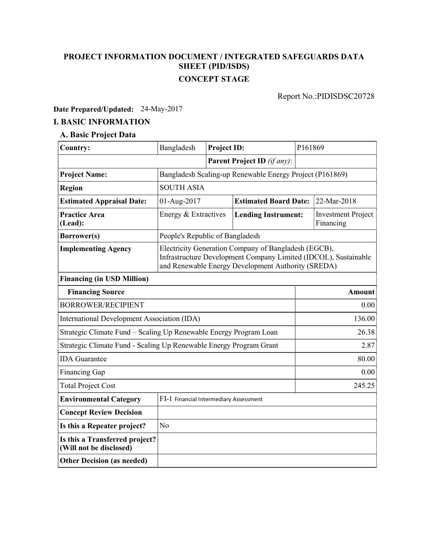# PROJECT INFORMATION DOCUMENT / INTEGRATED SAFEGUARDS DATA SHEET (PID/ISDS) CONCEPT STAGE

Report No.:PIDISDSC20728

# Date Prepared/Updated: 24-May-2017

# I. BASIC INFORMATION

# A. Basic Project Data

| <b>Country:</b>                                                    | Bangladesh                                                                                                                                                                    | <b>Project ID:</b> |                             | P161869 |                                        |
|--------------------------------------------------------------------|-------------------------------------------------------------------------------------------------------------------------------------------------------------------------------|--------------------|-----------------------------|---------|----------------------------------------|
|                                                                    |                                                                                                                                                                               |                    | Parent Project ID (if any): |         |                                        |
| <b>Project Name:</b>                                               | Bangladesh Scaling-up Renewable Energy Project (P161869)                                                                                                                      |                    |                             |         |                                        |
| <b>Region</b>                                                      | <b>SOUTH ASIA</b>                                                                                                                                                             |                    |                             |         |                                        |
| <b>Estimated Appraisal Date:</b>                                   | 01-Aug-2017<br><b>Estimated Board Date:</b>                                                                                                                                   |                    |                             |         | 22-Mar-2018                            |
| <b>Practice Area</b><br>(Lead):                                    | Energy & Extractives                                                                                                                                                          |                    | <b>Lending Instrument:</b>  |         | <b>Investment Project</b><br>Financing |
| Borrower(s)                                                        | People's Republic of Bangladesh                                                                                                                                               |                    |                             |         |                                        |
| <b>Implementing Agency</b>                                         | Electricity Generation Company of Bangladesh (EGCB),<br>Infrastructure Development Company Limited (IDCOL), Sustainable<br>and Renewable Energy Development Authority (SREDA) |                    |                             |         |                                        |
| <b>Financing (in USD Million)</b>                                  |                                                                                                                                                                               |                    |                             |         |                                        |
| <b>Financing Source</b>                                            |                                                                                                                                                                               |                    |                             |         | Amount                                 |
| <b>BORROWER/RECIPIENT</b>                                          |                                                                                                                                                                               |                    |                             | 0.00    |                                        |
| International Development Association (IDA)                        |                                                                                                                                                                               |                    |                             | 136.00  |                                        |
| Strategic Climate Fund - Scaling Up Renewable Energy Program Loan  |                                                                                                                                                                               |                    |                             | 26.38   |                                        |
| Strategic Climate Fund - Scaling Up Renewable Energy Program Grant |                                                                                                                                                                               |                    |                             | 2.87    |                                        |
| <b>IDA</b> Guarantee                                               |                                                                                                                                                                               |                    |                             | 80.00   |                                        |
| Financing Gap                                                      |                                                                                                                                                                               |                    |                             | 0.00    |                                        |
| <b>Total Project Cost</b>                                          |                                                                                                                                                                               |                    |                             | 245.25  |                                        |
| <b>Environmental Category</b>                                      | FI-1 Financial Intermediary Assessment                                                                                                                                        |                    |                             |         |                                        |
| <b>Concept Review Decision</b>                                     |                                                                                                                                                                               |                    |                             |         |                                        |
| Is this a Repeater project?                                        | N <sub>o</sub>                                                                                                                                                                |                    |                             |         |                                        |
| Is this a Transferred project?<br>(Will not be disclosed)          |                                                                                                                                                                               |                    |                             |         |                                        |
| <b>Other Decision (as needed)</b>                                  |                                                                                                                                                                               |                    |                             |         |                                        |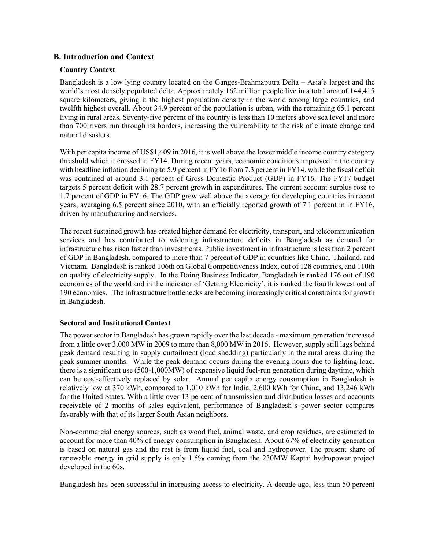## B. Introduction and Context

#### Country Context

Bangladesh is a low lying country located on the Ganges-Brahmaputra Delta – Asia's largest and the world's most densely populated delta. Approximately 162 million people live in a total area of 144,415 square kilometers, giving it the highest population density in the world among large countries, and twelfth highest overall. About 34.9 percent of the population is urban, with the remaining 65.1 percent living in rural areas. Seventy-five percent of the country is less than 10 meters above sea level and more than 700 rivers run through its borders, increasing the vulnerability to the risk of climate change and natural disasters.

With per capita income of US\$1,409 in 2016, it is well above the lower middle income country category threshold which it crossed in FY14. During recent years, economic conditions improved in the country with headline inflation declining to 5.9 percent in FY16 from 7.3 percent in FY14, while the fiscal deficit was contained at around 3.1 percent of Gross Domestic Product (GDP) in FY16. The FY17 budget targets 5 percent deficit with 28.7 percent growth in expenditures. The current account surplus rose to 1.7 percent of GDP in FY16. The GDP grew well above the average for developing countries in recent years, averaging 6.5 percent since 2010, with an officially reported growth of 7.1 percent in in FY16, driven by manufacturing and services.

The recent sustained growth has created higher demand for electricity, transport, and telecommunication services and has contributed to widening infrastructure deficits in Bangladesh as demand for infrastructure has risen faster than investments. Public investment in infrastructure is less than 2 percent of GDP in Bangladesh, compared to more than 7 percent of GDP in countries like China, Thailand, and Vietnam. Bangladesh is ranked 106th on Global Competitiveness Index, out of 128 countries, and 110th on quality of electricity supply. In the Doing Business Indicator, Bangladesh is ranked 176 out of 190 economies of the world and in the indicator of 'Getting Electricity', it is ranked the fourth lowest out of 190 economies. The infrastructure bottlenecks are becoming increasingly critical constraints for growth in Bangladesh.

#### Sectoral and Institutional Context

The power sector in Bangladesh has grown rapidly over the last decade - maximum generation increased from a little over 3,000 MW in 2009 to more than 8,000 MW in 2016. However, supply still lags behind peak demand resulting in supply curtailment (load shedding) particularly in the rural areas during the peak summer months. While the peak demand occurs during the evening hours due to lighting load, there is a significant use (500-1,000MW) of expensive liquid fuel-run generation during daytime, which can be cost-effectively replaced by solar. Annual per capita energy consumption in Bangladesh is relatively low at 370 kWh, compared to 1,010 kWh for India, 2,600 kWh for China, and 13,246 kWh for the United States. With a little over 13 percent of transmission and distribution losses and accounts receivable of 2 months of sales equivalent, performance of Bangladesh's power sector compares favorably with that of its larger South Asian neighbors.

Non-commercial energy sources, such as wood fuel, animal waste, and crop residues, are estimated to account for more than 40% of energy consumption in Bangladesh. About 67% of electricity generation is based on natural gas and the rest is from liquid fuel, coal and hydropower. The present share of renewable energy in grid supply is only 1.5% coming from the 230MW Kaptai hydropower project developed in the 60s.

Bangladesh has been successful in increasing access to electricity. A decade ago, less than 50 percent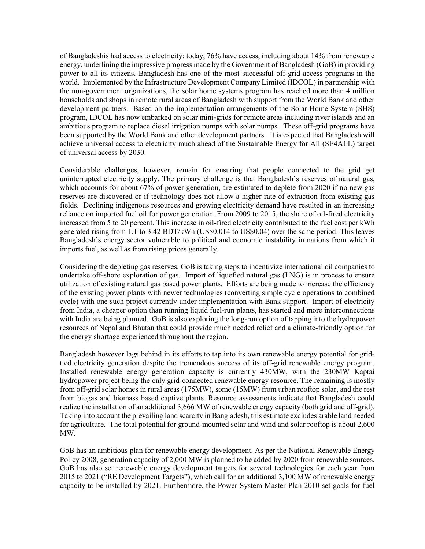of Bangladeshis had access to electricity; today, 76% have access, including about 14% from renewable energy, underlining the impressive progress made by the Government of Bangladesh (GoB) in providing power to all its citizens. Bangladesh has one of the most successful off-grid access programs in the world. Implemented by the Infrastructure Development Company Limited (IDCOL) in partnership with the non-government organizations, the solar home systems program has reached more than 4 million households and shops in remote rural areas of Bangladesh with support from the World Bank and other development partners. Based on the implementation arrangements of the Solar Home System (SHS) program, IDCOL has now embarked on solar mini-grids for remote areas including river islands and an ambitious program to replace diesel irrigation pumps with solar pumps. These off-grid programs have been supported by the World Bank and other development partners. It is expected that Bangladesh will achieve universal access to electricity much ahead of the Sustainable Energy for All (SE4ALL) target of universal access by 2030.

Considerable challenges, however, remain for ensuring that people connected to the grid get uninterrupted electricity supply. The primary challenge is that Bangladesh's reserves of natural gas, which accounts for about 67% of power generation, are estimated to deplete from 2020 if no new gas reserves are discovered or if technology does not allow a higher rate of extraction from existing gas fields. Declining indigenous resources and growing electricity demand have resulted in an increasing reliance on imported fuel oil for power generation. From 2009 to 2015, the share of oil-fired electricity increased from 5 to 20 percent. This increase in oil-fired electricity contributed to the fuel cost per kWh generated rising from 1.1 to 3.42 BDT/kWh (US\$0.014 to US\$0.04) over the same period. This leaves Bangladesh's energy sector vulnerable to political and economic instability in nations from which it imports fuel, as well as from rising prices generally.

Considering the depleting gas reserves, GoB is taking steps to incentivize international oil companies to undertake off-shore exploration of gas. Import of liquefied natural gas (LNG) is in process to ensure utilization of existing natural gas based power plants. Efforts are being made to increase the efficiency of the existing power plants with newer technologies (converting simple cycle operations to combined cycle) with one such project currently under implementation with Bank support. Import of electricity from India, a cheaper option than running liquid fuel-run plants, has started and more interconnections with India are being planned. GoB is also exploring the long-run option of tapping into the hydropower resources of Nepal and Bhutan that could provide much needed relief and a climate-friendly option for the energy shortage experienced throughout the region.

Bangladesh however lags behind in its efforts to tap into its own renewable energy potential for gridtied electricity generation despite the tremendous success of its off-grid renewable energy program. Installed renewable energy generation capacity is currently 430MW, with the 230MW Kaptai hydropower project being the only grid-connected renewable energy resource. The remaining is mostly from off-grid solar homes in rural areas (175MW), some (15MW) from urban rooftop solar, and the rest from biogas and biomass based captive plants. Resource assessments indicate that Bangladesh could realize the installation of an additional 3,666 MW of renewable energy capacity (both grid and off-grid). Taking into account the prevailing land scarcity in Bangladesh, this estimate excludes arable land needed for agriculture. The total potential for ground-mounted solar and wind and solar rooftop is about 2,600 MW.

GoB has an ambitious plan for renewable energy development. As per the National Renewable Energy Policy 2008, generation capacity of 2,000 MW is planned to be added by 2020 from renewable sources. GoB has also set renewable energy development targets for several technologies for each year from 2015 to 2021 ("RE Development Targets"), which call for an additional 3,100 MW of renewable energy capacity to be installed by 2021. Furthermore, the Power System Master Plan 2010 set goals for fuel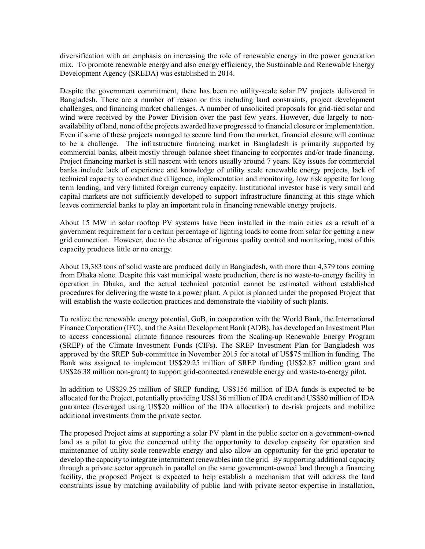diversification with an emphasis on increasing the role of renewable energy in the power generation mix. To promote renewable energy and also energy efficiency, the Sustainable and Renewable Energy Development Agency (SREDA) was established in 2014.

Despite the government commitment, there has been no utility-scale solar PV projects delivered in Bangladesh. There are a number of reason or this including land constraints, project development challenges, and financing market challenges. A number of unsolicited proposals for grid-tied solar and wind were received by the Power Division over the past few years. However, due largely to nonavailability of land, none of the projects awarded have progressed to financial closure or implementation. Even if some of these projects managed to secure land from the market, financial closure will continue to be a challenge. The infrastructure financing market in Bangladesh is primarily supported by commercial banks, albeit mostly through balance sheet financing to corporates and/or trade financing. Project financing market is still nascent with tenors usually around 7 years. Key issues for commercial banks include lack of experience and knowledge of utility scale renewable energy projects, lack of technical capacity to conduct due diligence, implementation and monitoring, low risk appetite for long term lending, and very limited foreign currency capacity. Institutional investor base is very small and capital markets are not sufficiently developed to support infrastructure financing at this stage which leaves commercial banks to play an important role in financing renewable energy projects.

About 15 MW in solar rooftop PV systems have been installed in the main cities as a result of a government requirement for a certain percentage of lighting loads to come from solar for getting a new grid connection. However, due to the absence of rigorous quality control and monitoring, most of this capacity produces little or no energy.

About 13,383 tons of solid waste are produced daily in Bangladesh, with more than 4,379 tons coming from Dhaka alone. Despite this vast municipal waste production, there is no waste-to-energy facility in operation in Dhaka, and the actual technical potential cannot be estimated without established procedures for delivering the waste to a power plant. A pilot is planned under the proposed Project that will establish the waste collection practices and demonstrate the viability of such plants.

To realize the renewable energy potential, GoB, in cooperation with the World Bank, the International Finance Corporation (IFC), and the Asian Development Bank (ADB), has developed an Investment Plan to access concessional climate finance resources from the Scaling-up Renewable Energy Program (SREP) of the Climate Investment Funds (CIFs). The SREP Investment Plan for Bangladesh was approved by the SREP Sub-committee in November 2015 for a total of US\$75 million in funding. The Bank was assigned to implement US\$29.25 million of SREP funding (US\$2.87 million grant and US\$26.38 million non-grant) to support grid-connected renewable energy and waste-to-energy pilot.

In addition to US\$29.25 million of SREP funding, US\$156 million of IDA funds is expected to be allocated for the Project, potentially providing US\$136 million of IDA credit and US\$80 million of IDA guarantee (leveraged using US\$20 million of the IDA allocation) to de-risk projects and mobilize additional investments from the private sector.

The proposed Project aims at supporting a solar PV plant in the public sector on a government-owned land as a pilot to give the concerned utility the opportunity to develop capacity for operation and maintenance of utility scale renewable energy and also allow an opportunity for the grid operator to develop the capacity to integrate intermittent renewables into the grid. By supporting additional capacity through a private sector approach in parallel on the same government-owned land through a financing facility, the proposed Project is expected to help establish a mechanism that will address the land constraints issue by matching availability of public land with private sector expertise in installation,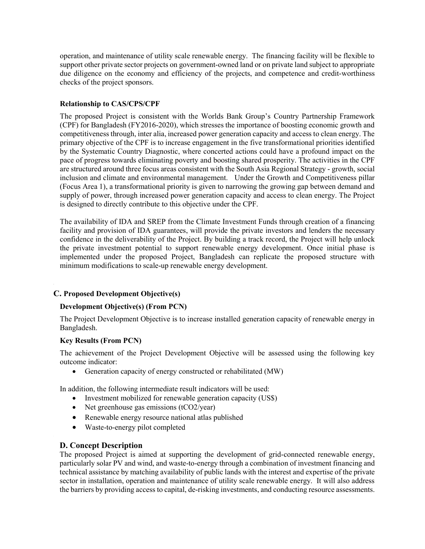operation, and maintenance of utility scale renewable energy. The financing facility will be flexible to support other private sector projects on government-owned land or on private land subject to appropriate due diligence on the economy and efficiency of the projects, and competence and credit-worthiness checks of the project sponsors.

#### Relationship to CAS/CPS/CPF

The proposed Project is consistent with the Worlds Bank Group's Country Partnership Framework (CPF) for Bangladesh (FY2016-2020), which stresses the importance of boosting economic growth and competitiveness through, inter alia, increased power generation capacity and access to clean energy. The primary objective of the CPF is to increase engagement in the five transformational priorities identified by the Systematic Country Diagnostic, where concerted actions could have a profound impact on the pace of progress towards eliminating poverty and boosting shared prosperity. The activities in the CPF are structured around three focus areas consistent with the South Asia Regional Strategy - growth, social inclusion and climate and environmental management. Under the Growth and Competitiveness pillar (Focus Area 1), a transformational priority is given to narrowing the growing gap between demand and supply of power, through increased power generation capacity and access to clean energy. The Project is designed to directly contribute to this objective under the CPF.

The availability of IDA and SREP from the Climate Investment Funds through creation of a financing facility and provision of IDA guarantees, will provide the private investors and lenders the necessary confidence in the deliverability of the Project. By building a track record, the Project will help unlock the private investment potential to support renewable energy development. Once initial phase is implemented under the proposed Project, Bangladesh can replicate the proposed structure with minimum modifications to scale-up renewable energy development.

## C. Proposed Development Objective(s)

#### Development Objective(s) (From PCN)

The Project Development Objective is to increase installed generation capacity of renewable energy in Bangladesh.

#### Key Results (From PCN)

The achievement of the Project Development Objective will be assessed using the following key outcome indicator:

• Generation capacity of energy constructed or rehabilitated (MW)

In addition, the following intermediate result indicators will be used:

- Investment mobilized for renewable generation capacity (US\$)
- Net greenhouse gas emissions  $(tCO2/year)$
- Renewable energy resource national atlas published
- Waste-to-energy pilot completed

#### D. Concept Description

The proposed Project is aimed at supporting the development of grid-connected renewable energy, particularly solar PV and wind, and waste-to-energy through a combination of investment financing and technical assistance by matching availability of public lands with the interest and expertise of the private sector in installation, operation and maintenance of utility scale renewable energy. It will also address the barriers by providing access to capital, de-risking investments, and conducting resource assessments.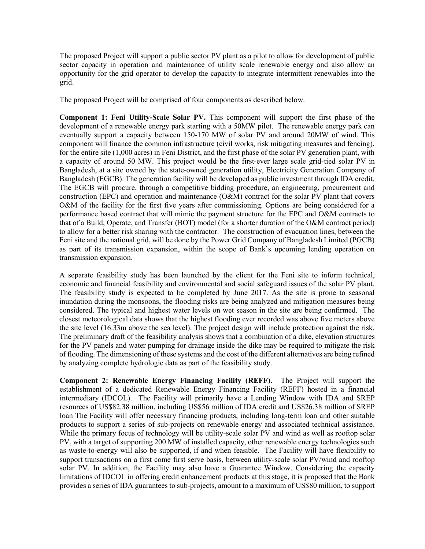The proposed Project will support a public sector PV plant as a pilot to allow for development of public sector capacity in operation and maintenance of utility scale renewable energy and also allow an opportunity for the grid operator to develop the capacity to integrate intermittent renewables into the grid.

The proposed Project will be comprised of four components as described below.

Component 1: Feni Utility-Scale Solar PV. This component will support the first phase of the development of a renewable energy park starting with a 50MW pilot. The renewable energy park can eventually support a capacity between 150-170 MW of solar PV and around 20MW of wind. This component will finance the common infrastructure (civil works, risk mitigating measures and fencing), for the entire site (1,000 acres) in Feni District, and the first phase of the solar PV generation plant, with a capacity of around 50 MW. This project would be the first-ever large scale grid-tied solar PV in Bangladesh, at a site owned by the state-owned generation utility, Electricity Generation Company of Bangladesh (EGCB). The generation facility will be developed as public investment through IDA credit. The EGCB will procure, through a competitive bidding procedure, an engineering, procurement and construction (EPC) and operation and maintenance (O&M) contract for the solar PV plant that covers O&M of the facility for the first five years after commissioning. Options are being considered for a performance based contract that will mimic the payment structure for the EPC and O&M contracts to that of a Build, Operate, and Transfer (BOT) model (for a shorter duration of the O&M contract period) to allow for a better risk sharing with the contractor. The construction of evacuation lines, between the Feni site and the national grid, will be done by the Power Grid Company of Bangladesh Limited (PGCB) as part of its transmission expansion, within the scope of Bank's upcoming lending operation on transmission expansion.

A separate feasibility study has been launched by the client for the Feni site to inform technical, economic and financial feasibility and environmental and social safeguard issues of the solar PV plant. The feasibility study is expected to be completed by June 2017. As the site is prone to seasonal inundation during the monsoons, the flooding risks are being analyzed and mitigation measures being considered. The typical and highest water levels on wet season in the site are being confirmed. The closest meteorological data shows that the highest flooding ever recorded was above five meters above the site level (16.33m above the sea level). The project design will include protection against the risk. The preliminary draft of the feasibility analysis shows that a combination of a dike, elevation structures for the PV panels and water pumping for drainage inside the dike may be required to mitigate the risk of flooding. The dimensioning of these systems and the cost of the different alternatives are being refined by analyzing complete hydrologic data as part of the feasibility study.

Component 2: Renewable Energy Financing Facility (REFF). The Project will support the establishment of a dedicated Renewable Energy Financing Facility (REFF) hosted in a financial intermediary (IDCOL). The Facility will primarily have a Lending Window with IDA and SREP resources of US\$82.38 million, including US\$56 million of IDA credit and US\$26.38 million of SREP loan The Facility will offer necessary financing products, including long-term loan and other suitable products to support a series of sub-projects on renewable energy and associated technical assistance. While the primary focus of technology will be utility-scale solar PV and wind as well as rooftop solar PV, with a target of supporting 200 MW of installed capacity, other renewable energy technologies such as waste-to-energy will also be supported, if and when feasible. The Facility will have flexibility to support transactions on a first come first serve basis, between utility-scale solar PV/wind and rooftop solar PV. In addition, the Facility may also have a Guarantee Window. Considering the capacity limitations of IDCOL in offering credit enhancement products at this stage, it is proposed that the Bank provides a series of IDA guarantees to sub-projects, amount to a maximum of US\$80 million, to support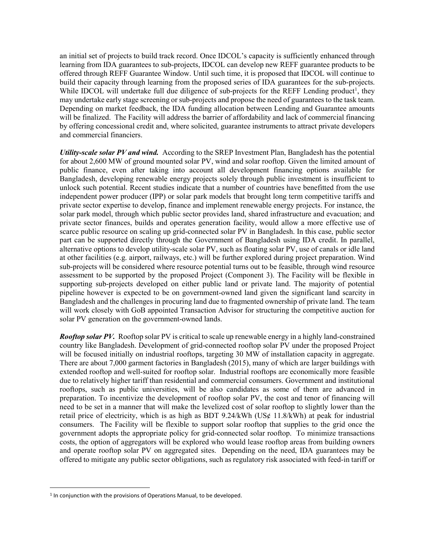an initial set of projects to build track record. Once IDCOL's capacity is sufficiently enhanced through learning from IDA guarantees to sub-projects, IDCOL can develop new REFF guarantee products to be offered through REFF Guarantee Window. Until such time, it is proposed that IDCOL will continue to build their capacity through learning from the proposed series of IDA guarantees for the sub-projects. While IDCOL will undertake full due diligence of sub-projects for the REFF Lending product<sup>1</sup>, they may undertake early stage screening or sub-projects and propose the need of guarantees to the task team. Depending on market feedback, the IDA funding allocation between Lending and Guarantee amounts will be finalized. The Facility will address the barrier of affordability and lack of commercial financing by offering concessional credit and, where solicited, guarantee instruments to attract private developers and commercial financiers.

Utility-scale solar PV and wind. According to the SREP Investment Plan, Bangladesh has the potential for about 2,600 MW of ground mounted solar PV, wind and solar rooftop. Given the limited amount of public finance, even after taking into account all development financing options available for Bangladesh, developing renewable energy projects solely through public investment is insufficient to unlock such potential. Recent studies indicate that a number of countries have benefitted from the use independent power producer (IPP) or solar park models that brought long term competitive tariffs and private sector expertise to develop, finance and implement renewable energy projects. For instance, the solar park model, through which public sector provides land, shared infrastructure and evacuation; and private sector finances, builds and operates generation facility, would allow a more effective use of scarce public resource on scaling up grid-connected solar PV in Bangladesh. In this case, public sector part can be supported directly through the Government of Bangladesh using IDA credit. In parallel, alternative options to develop utility-scale solar PV, such as floating solar PV, use of canals or idle land at other facilities (e.g. airport, railways, etc.) will be further explored during project preparation. Wind sub-projects will be considered where resource potential turns out to be feasible, through wind resource assessment to be supported by the proposed Project (Component 3). The Facility will be flexible in supporting sub-projects developed on either public land or private land. The majority of potential pipeline however is expected to be on government-owned land given the significant land scarcity in Bangladesh and the challenges in procuring land due to fragmented ownership of private land. The team will work closely with GoB appointed Transaction Advisor for structuring the competitive auction for solar PV generation on the government-owned lands.

**Rooftop solar PV.** Rooftop solar PV is critical to scale up renewable energy in a highly land-constrained country like Bangladesh. Development of grid-connected rooftop solar PV under the proposed Project will be focused initially on industrial rooftops, targeting 30 MW of installation capacity in aggregate. There are about 7,000 garment factories in Bangladesh (2015), many of which are larger buildings with extended rooftop and well-suited for rooftop solar. Industrial rooftops are economically more feasible due to relatively higher tariff than residential and commercial consumers. Government and institutional rooftops, such as public universities, will be also candidates as some of them are advanced in preparation. To incentivize the development of rooftop solar PV, the cost and tenor of financing will need to be set in a manner that will make the levelized cost of solar rooftop to slightly lower than the retail price of electricity, which is as high as BDT 9.24/kWh (US¢ 11.8/kWh) at peak for industrial consumers. The Facility will be flexible to support solar rooftop that supplies to the grid once the government adopts the appropriate policy for grid-connected solar rooftop. To minimize transactions costs, the option of aggregators will be explored who would lease rooftop areas from building owners and operate rooftop solar PV on aggregated sites. Depending on the need, IDA guarantees may be offered to mitigate any public sector obligations, such as regulatory risk associated with feed-in tariff or

 $\overline{a}$ 

<sup>&</sup>lt;sup>1</sup> In conjunction with the provisions of Operations Manual, to be developed.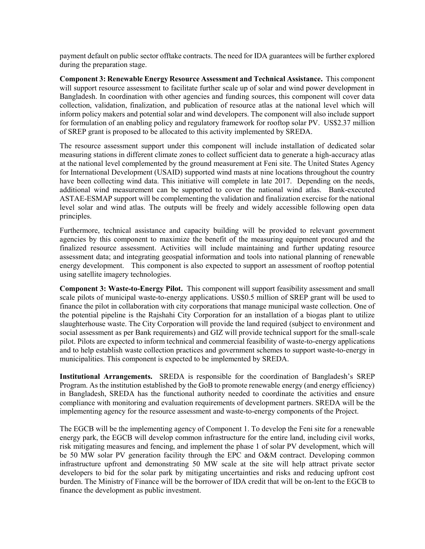payment default on public sector offtake contracts. The need for IDA guarantees will be further explored during the preparation stage.

Component 3: Renewable Energy Resource Assessment and Technical Assistance. This component will support resource assessment to facilitate further scale up of solar and wind power development in Bangladesh. In coordination with other agencies and funding sources, this component will cover data collection, validation, finalization, and publication of resource atlas at the national level which will inform policy makers and potential solar and wind developers. The component will also include support for formulation of an enabling policy and regulatory framework for rooftop solar PV. US\$2.37 million of SREP grant is proposed to be allocated to this activity implemented by SREDA.

The resource assessment support under this component will include installation of dedicated solar measuring stations in different climate zones to collect sufficient data to generate a high-accuracy atlas at the national level complemented by the ground measurement at Feni site. The United States Agency for International Development (USAID) supported wind masts at nine locations throughout the country have been collecting wind data. This initiative will complete in late 2017. Depending on the needs, additional wind measurement can be supported to cover the national wind atlas. Bank-executed ASTAE-ESMAP support will be complementing the validation and finalization exercise for the national level solar and wind atlas. The outputs will be freely and widely accessible following open data principles.

Furthermore, technical assistance and capacity building will be provided to relevant government agencies by this component to maximize the benefit of the measuring equipment procured and the finalized resource assessment. Activities will include maintaining and further updating resource assessment data; and integrating geospatial information and tools into national planning of renewable energy development. This component is also expected to support an assessment of rooftop potential using satellite imagery technologies.

Component 3: Waste-to-Energy Pilot. This component will support feasibility assessment and small scale pilots of municipal waste-to-energy applications. US\$0.5 million of SREP grant will be used to finance the pilot in collaboration with city corporations that manage municipal waste collection. One of the potential pipeline is the Rajshahi City Corporation for an installation of a biogas plant to utilize slaughterhouse waste. The City Corporation will provide the land required (subject to environment and social assessment as per Bank requirements) and GIZ will provide technical support for the small-scale pilot. Pilots are expected to inform technical and commercial feasibility of waste-to-energy applications and to help establish waste collection practices and government schemes to support waste-to-energy in municipalities. This component is expected to be implemented by SREDA.

Institutional Arrangements. SREDA is responsible for the coordination of Bangladesh's SREP Program. As the institution established by the GoB to promote renewable energy (and energy efficiency) in Bangladesh, SREDA has the functional authority needed to coordinate the activities and ensure compliance with monitoring and evaluation requirements of development partners. SREDA will be the implementing agency for the resource assessment and waste-to-energy components of the Project.

The EGCB will be the implementing agency of Component 1. To develop the Feni site for a renewable energy park, the EGCB will develop common infrastructure for the entire land, including civil works, risk mitigating measures and fencing, and implement the phase 1 of solar PV development, which will be 50 MW solar PV generation facility through the EPC and O&M contract. Developing common infrastructure upfront and demonstrating 50 MW scale at the site will help attract private sector developers to bid for the solar park by mitigating uncertainties and risks and reducing upfront cost burden. The Ministry of Finance will be the borrower of IDA credit that will be on-lent to the EGCB to finance the development as public investment.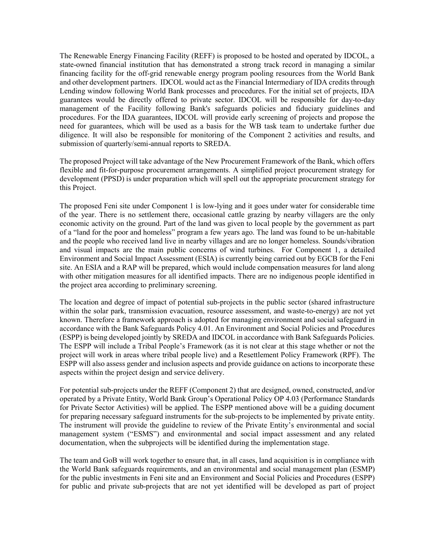The Renewable Energy Financing Facility (REFF) is proposed to be hosted and operated by IDCOL, a state-owned financial institution that has demonstrated a strong track record in managing a similar financing facility for the off-grid renewable energy program pooling resources from the World Bank and other development partners. IDCOL would act as the Financial Intermediary of IDA credits through Lending window following World Bank processes and procedures. For the initial set of projects, IDA guarantees would be directly offered to private sector. IDCOL will be responsible for day-to-day management of the Facility following Bank's safeguards policies and fiduciary guidelines and procedures. For the IDA guarantees, IDCOL will provide early screening of projects and propose the need for guarantees, which will be used as a basis for the WB task team to undertake further due diligence. It will also be responsible for monitoring of the Component 2 activities and results, and submission of quarterly/semi-annual reports to SREDA.

The proposed Project will take advantage of the New Procurement Framework of the Bank, which offers flexible and fit-for-purpose procurement arrangements. A simplified project procurement strategy for development (PPSD) is under preparation which will spell out the appropriate procurement strategy for this Project.

The proposed Feni site under Component 1 is low-lying and it goes under water for considerable time of the year. There is no settlement there, occasional cattle grazing by nearby villagers are the only economic activity on the ground. Part of the land was given to local people by the government as part of a "land for the poor and homeless" program a few years ago. The land was found to be un-habitable and the people who received land live in nearby villages and are no longer homeless. Sounds/vibration and visual impacts are the main public concerns of wind turbines. For Component 1, a detailed Environment and Social Impact Assessment (ESIA) is currently being carried out by EGCB for the Feni site. An ESIA and a RAP will be prepared, which would include compensation measures for land along with other mitigation measures for all identified impacts. There are no indigenous people identified in the project area according to preliminary screening.

The location and degree of impact of potential sub-projects in the public sector (shared infrastructure within the solar park, transmission evacuation, resource assessment, and waste-to-energy) are not yet known. Therefore a framework approach is adopted for managing environment and social safeguard in accordance with the Bank Safeguards Policy 4.01. An Environment and Social Policies and Procedures (ESPP) is being developed jointly by SREDA and IDCOL in accordance with Bank Safeguards Policies. The ESPP will include a Tribal People's Framework (as it is not clear at this stage whether or not the project will work in areas where tribal people live) and a Resettlement Policy Framework (RPF). The ESPP will also assess gender and inclusion aspects and provide guidance on actions to incorporate these aspects within the project design and service delivery.

For potential sub-projects under the REFF (Component 2) that are designed, owned, constructed, and/or operated by a Private Entity, World Bank Group's Operational Policy OP 4.03 (Performance Standards for Private Sector Activities) will be applied. The ESPP mentioned above will be a guiding document for preparing necessary safeguard instruments for the sub-projects to be implemented by private entity. The instrument will provide the guideline to review of the Private Entity's environmental and social management system ("ESMS") and environmental and social impact assessment and any related documentation, when the subprojects will be identified during the implementation stage.

The team and GoB will work together to ensure that, in all cases, land acquisition is in compliance with the World Bank safeguards requirements, and an environmental and social management plan (ESMP) for the public investments in Feni site and an Environment and Social Policies and Procedures (ESPP) for public and private sub-projects that are not yet identified will be developed as part of project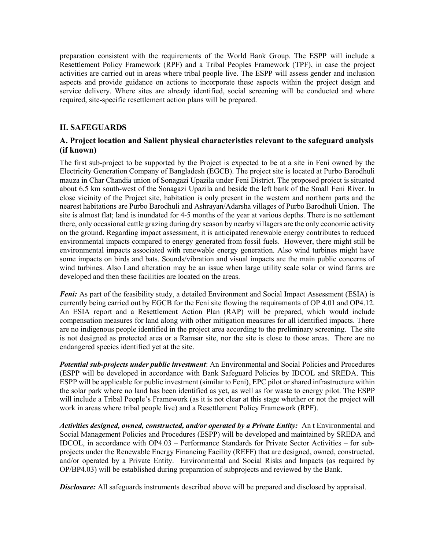preparation consistent with the requirements of the World Bank Group. The ESPP will include a Resettlement Policy Framework (RPF) and a Tribal Peoples Framework (TPF), in case the project activities are carried out in areas where tribal people live. The ESPP will assess gender and inclusion aspects and provide guidance on actions to incorporate these aspects within the project design and service delivery. Where sites are already identified, social screening will be conducted and where required, site-specific resettlement action plans will be prepared.

#### II. SAFEGUARDS

## A. Project location and Salient physical characteristics relevant to the safeguard analysis (if known)

The first sub-project to be supported by the Project is expected to be at a site in Feni owned by the Electricity Generation Company of Bangladesh (EGCB). The project site is located at Purbo Barodhuli mauza in Char Chandia union of Sonagazi Upazila under Feni District. The proposed project is situated about 6.5 km south-west of the Sonagazi Upazila and beside the left bank of the Small Feni River. In close vicinity of the Project site, habitation is only present in the western and northern parts and the nearest habitations are Purbo Barodhuli and Ashrayan/Adarsha villages of Purbo Barodhuli Union. The site is almost flat; land is inundated for 4-5 months of the year at various depths. There is no settlement there, only occasional cattle grazing during dry season by nearby villagers are the only economic activity on the ground. Regarding impact assessment, it is anticipated renewable energy contributes to reduced environmental impacts compared to energy generated from fossil fuels. However, there might still be environmental impacts associated with renewable energy generation. Also wind turbines might have some impacts on birds and bats. Sounds/vibration and visual impacts are the main public concerns of wind turbines. Also Land alteration may be an issue when large utility scale solar or wind farms are developed and then these facilities are located on the areas.

**Feni:** As part of the feasibility study, a detailed Environment and Social Impact Assessment (ESIA) is currently being carried out by EGCB for the Feni site flowing the requirements of OP 4.01 and OP4.12. An ESIA report and a Resettlement Action Plan (RAP) will be prepared, which would include compensation measures for land along with other mitigation measures for all identified impacts. There are no indigenous people identified in the project area according to the preliminary screening. The site is not designed as protected area or a Ramsar site, nor the site is close to those areas. There are no endangered species identified yet at the site.

Potential sub-projects under public investment: An Environmental and Social Policies and Procedures (ESPP will be developed in accordance with Bank Safeguard Policies by IDCOL and SREDA. This ESPP will be applicable for public investment (similar to Feni), EPC pilot or shared infrastructure within the solar park where no land has been identified as yet, as well as for waste to energy pilot. The ESPP will include a Tribal People's Framework (as it is not clear at this stage whether or not the project will work in areas where tribal people live) and a Resettlement Policy Framework (RPF).

Activities designed, owned, constructed, and/or operated by a Private Entity: Ant Environmental and Social Management Policies and Procedures (ESPP) will be developed and maintained by SREDA and IDCOL, in accordance with OP4.03 – Performance Standards for Private Sector Activities – for subprojects under the Renewable Energy Financing Facility (REFF) that are designed, owned, constructed, and/or operated by a Private Entity. Environmental and Social Risks and Impacts (as required by OP/BP4.03) will be established during preparation of subprojects and reviewed by the Bank.

**Disclosure:** All safeguards instruments described above will be prepared and disclosed by appraisal.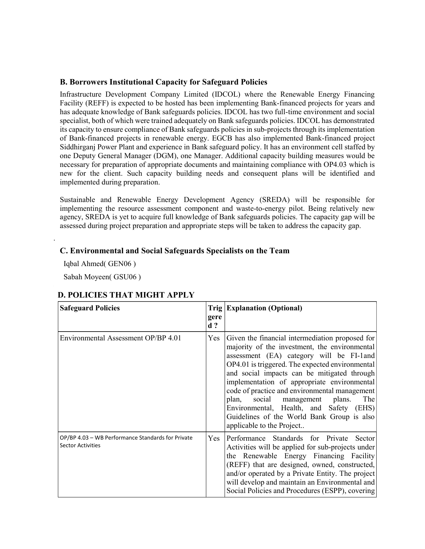## B. Borrowers Institutional Capacity for Safeguard Policies

Infrastructure Development Company Limited (IDCOL) where the Renewable Energy Financing Facility (REFF) is expected to be hosted has been implementing Bank-financed projects for years and has adequate knowledge of Bank safeguards policies. IDCOL has two full-time environment and social specialist, both of which were trained adequately on Bank safeguards policies. IDCOL has demonstrated its capacity to ensure compliance of Bank safeguards policies in sub-projects through its implementation of Bank-financed projects in renewable energy. EGCB has also implemented Bank-financed project Siddhirganj Power Plant and experience in Bank safeguard policy. It has an environment cell staffed by one Deputy General Manager (DGM), one Manager. Additional capacity building measures would be necessary for preparation of appropriate documents and maintaining compliance with OP4.03 which is new for the client. Such capacity building needs and consequent plans will be identified and implemented during preparation.

Sustainable and Renewable Energy Development Agency (SREDA) will be responsible for implementing the resource assessment component and waste-to-energy pilot. Being relatively new agency, SREDA is yet to acquire full knowledge of Bank safeguards policies. The capacity gap will be assessed during project preparation and appropriate steps will be taken to address the capacity gap.

## C. Environmental and Social Safeguards Specialists on the Team

Iqbal Ahmed( GEN06 )

.

Sabah Moyeen( GSU06 )

# D. POLICIES THAT MIGHT APPLY

| <b>Safeguard Policies</b>                                                     | gere<br>$d$ ? | <b>Trig Explanation (Optional)</b>                                                                                                                                                                                                                                                                                                                                                                                                                                                                                     |
|-------------------------------------------------------------------------------|---------------|------------------------------------------------------------------------------------------------------------------------------------------------------------------------------------------------------------------------------------------------------------------------------------------------------------------------------------------------------------------------------------------------------------------------------------------------------------------------------------------------------------------------|
| Environmental Assessment OP/BP 4.01                                           | Yes           | Given the financial intermediation proposed for<br>majority of the investment, the environmental<br>assessment (EA) category will be FI-1 and<br>OP4.01 is triggered. The expected environmental<br>and social impacts can be mitigated through<br>implementation of appropriate environmental<br>code of practice and environmental management<br>social<br>plan,<br>management plans.<br>The  <br>Environmental, Health, and Safety (EHS)<br>Guidelines of the World Bank Group is also<br>applicable to the Project |
| OP/BP 4.03 - WB Performance Standards for Private<br><b>Sector Activities</b> | Yes           | Performance Standards for Private Sector<br>Activities will be applied for sub-projects under<br>the Renewable Energy Financing Facility<br>(REFF) that are designed, owned, constructed,<br>and/or operated by a Private Entity. The project<br>will develop and maintain an Environmental and<br>Social Policies and Procedures (ESPP), covering                                                                                                                                                                     |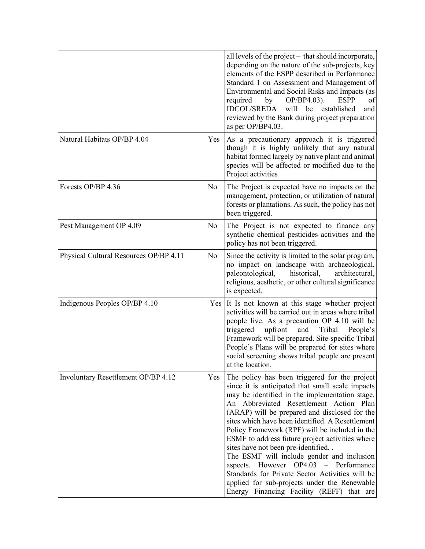|                                        |     | all levels of the project - that should incorporate,<br>depending on the nature of the sub-projects, key<br>elements of the ESPP described in Performance<br>Standard 1 on Assessment and Management of<br>Environmental and Social Risks and Impacts (as<br>required<br>by<br>OP/BP4.03).<br><b>ESPP</b><br>of<br><b>IDCOL/SREDA</b><br>will<br>be<br>established<br>and<br>reviewed by the Bank during project preparation<br>as per OP/BP4.03.                                                                                                                                                                                                                                     |
|----------------------------------------|-----|---------------------------------------------------------------------------------------------------------------------------------------------------------------------------------------------------------------------------------------------------------------------------------------------------------------------------------------------------------------------------------------------------------------------------------------------------------------------------------------------------------------------------------------------------------------------------------------------------------------------------------------------------------------------------------------|
| Natural Habitats OP/BP 4.04            | Yes | As a precautionary approach it is triggered<br>though it is highly unlikely that any natural<br>habitat formed largely by native plant and animal<br>species will be affected or modified due to the<br>Project activities                                                                                                                                                                                                                                                                                                                                                                                                                                                            |
| Forests OP/BP 4.36                     | No  | The Project is expected have no impacts on the<br>management, protection, or utilization of natural<br>forests or plantations. As such, the policy has not<br>been triggered.                                                                                                                                                                                                                                                                                                                                                                                                                                                                                                         |
| Pest Management OP 4.09                | No  | The Project is not expected to finance any<br>synthetic chemical pesticides activities and the<br>policy has not been triggered.                                                                                                                                                                                                                                                                                                                                                                                                                                                                                                                                                      |
| Physical Cultural Resources OP/BP 4.11 | No  | Since the activity is limited to the solar program,<br>no impact on landscape with archaeological,<br>historical,<br>architectural,<br>paleontological,<br>religious, aesthetic, or other cultural significance<br>is expected.                                                                                                                                                                                                                                                                                                                                                                                                                                                       |
| Indigenous Peoples OP/BP 4.10          | Yes | It Is not known at this stage whether project<br>activities will be carried out in areas where tribal<br>people live. As a precaution OP 4.10 will be<br>upfront<br>and<br>Tribal<br>triggered<br>People's<br>Framework will be prepared. Site-specific Tribal<br>People's Plans will be prepared for sites where<br>social screening shows tribal people are present<br>at the location.                                                                                                                                                                                                                                                                                             |
| Involuntary Resettlement OP/BP 4.12    | Yes | The policy has been triggered for the project<br>since it is anticipated that small scale impacts<br>may be identified in the implementation stage.<br>An Abbreviated Resettlement Action Plan<br>(ARAP) will be prepared and disclosed for the<br>sites which have been identified. A Resettlement<br>Policy Framework (RPF) will be included in the<br>ESMF to address future project activities where<br>sites have not been pre-identified<br>The ESMF will include gender and inclusion<br>aspects. However OP4.03 - Performance<br>Standards for Private Sector Activities will be<br>applied for sub-projects under the Renewable<br>Energy Financing Facility (REFF) that are |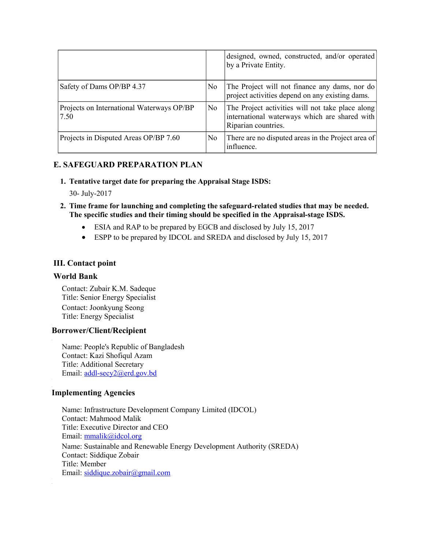|                                                   |                | designed, owned, constructed, and/or operated<br>by a Private Entity.                                                    |
|---------------------------------------------------|----------------|--------------------------------------------------------------------------------------------------------------------------|
| Safety of Dams OP/BP 4.37                         | N <sub>0</sub> | The Project will not finance any dams, nor do<br>project activities depend on any existing dams.                         |
| Projects on International Waterways OP/BP<br>7.50 | N <sub>0</sub> | The Project activities will not take place along<br>international waterways which are shared with<br>Riparian countries. |
| Projects in Disputed Areas OP/BP 7.60             | N <sub>o</sub> | There are no disputed areas in the Project area of<br>influence.                                                         |

## E. SAFEGUARD PREPARATION PLAN

1. Tentative target date for preparing the Appraisal Stage ISDS:

30- July-2017

- 2. Time frame for launching and completing the safeguard-related studies that may be needed. The specific studies and their timing should be specified in the Appraisal-stage ISDS.
	- ESIA and RAP to be prepared by EGCB and disclosed by July 15, 2017
	- ESPP to be prepared by IDCOL and SREDA and disclosed by July 15, 2017

## III. Contact point

#### World Bank

Contact: Zubair K.M. Sadeque Title: Senior Energy Specialist Contact: Joonkyung Seong Title: Energy Specialist

## Borrower/Client/Recipient

Name: People's Republic of Bangladesh Contact: Kazi Shofiqul Azam Title: Additional Secretary Email: addl-secy2@erd.gov.bd

## Implementing Agencies

.

Name: Infrastructure Development Company Limited (IDCOL) Contact: Mahmood Malik Title: Executive Director and CEO Email: mmalik@idcol.org Name: Sustainable and Renewable Energy Development Authority (SREDA) Contact: Siddique Zobair Title: Member Email: siddique.zobair@gmail.com